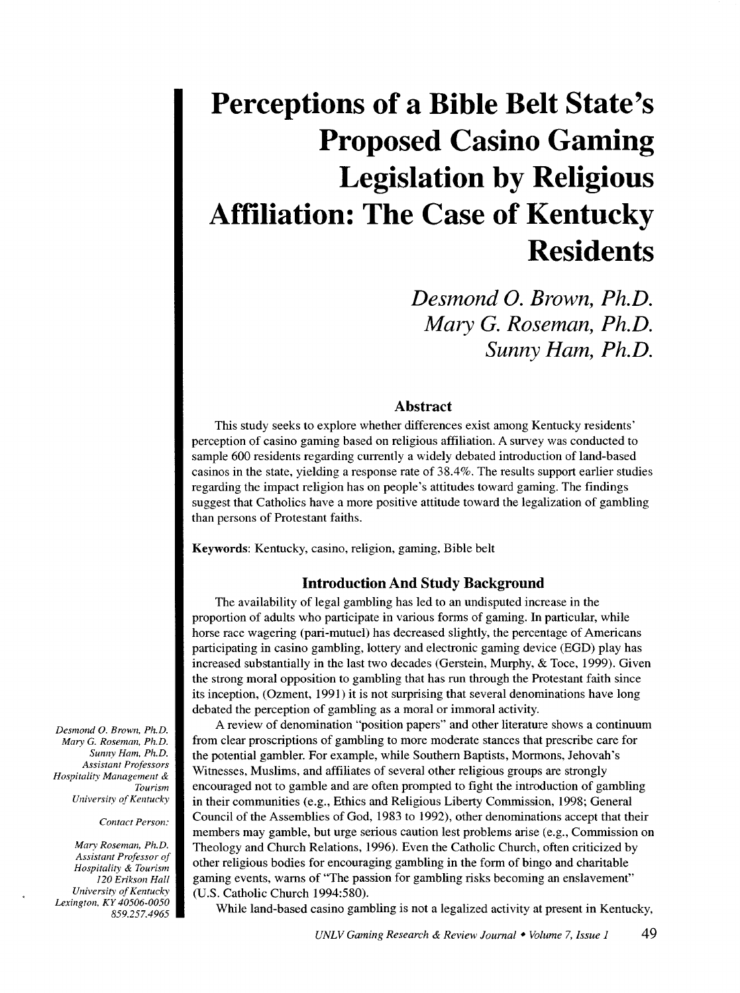# **Perceptions of a Bible Belt State's Proposed Casino Gaming Legislation by Religious Affiliation: The Case of Kentucky Residents**

*Desmond 0. Brown, Ph.D. Mary* **G.** *Roseman, Ph.D. Sunny Ham, Ph.D.* 

### **Abstract**

This study seeks to explore whether differences exist among Kentucky residents' perception of casino gaming based on religious affiliation. A survey was conducted to sample 600 residents regarding currently a widely debated introduction of land-based casinos in the state, yielding a response rate of 38.4%. The results support earlier studies regarding the impact religion has on people's attitudes toward gaming. The findings suggest that Catholics have a more positive attitude toward the legalization of gambling than persons of Protestant faiths.

Keywords: Kentucky, casino, religion, gaming, Bible belt

#### **Introduction And Study Background**

The availability of legal gambling has led to an undisputed increase in the proportion of adults who participate in various forms of gaming. In particular, while horse race wagering (pari-mutuel) has decreased slightly, the percentage of Americans participating in casino gambling, lottery and electronic gaming device (EGD) play has increased substantially in the last two decades (Gerstein, Murphy, & Toce, 1999). Given the strong moral opposition to gambling that has run through the Protestant faith since its inception, (Ozment, 1991) it is not surprising that several denominations have long debated the perception of gambling as a moral or immoral activity.

A review of denomination "position papers" and other literature shows a continuum from clear proscriptions of gambling to more moderate stances that prescribe care for the potential gambler. For example, while Southern Baptists, Mormons, Jehovah's Witnesses, Muslims, and affiliates of several other religious groups are strongly encouraged not to gamble and are often prompted to fight the introduction of gambling in their communities (e.g., Ethics and Religious Liberty Commission, 1998; General Council of the Assemblies of God, 1983 to 1992), other denominations accept that their members may gamble, but urge serious caution lest problems arise (e.g., Commission on Theology and Church Relations, 1996). Even the Catholic Church, often criticized by other religious bodies for encouraging gambling in the form of bingo and charitable gaming events, warns of "The passion for gambling risks becoming an enslavement" (U.S. Catholic Church 1994:580).

While land-based casino gambling is not a legalized activity at present in Kentucky,

*Desmond 0. Brown. Ph.D. Mary* G. *Roseman, Ph.D. Sunny Ham, Ph.D. Assistant Professors Hospitality Management* & *Tourism University of Kentucky* 

*Contact Person:* 

*Mary Roseman, Ph.D. Assistant Professor of Hospitality* & *Tourism 120 Erikson Hall University of Kentucky Lexington, KY 40506-0050 859.257.4965*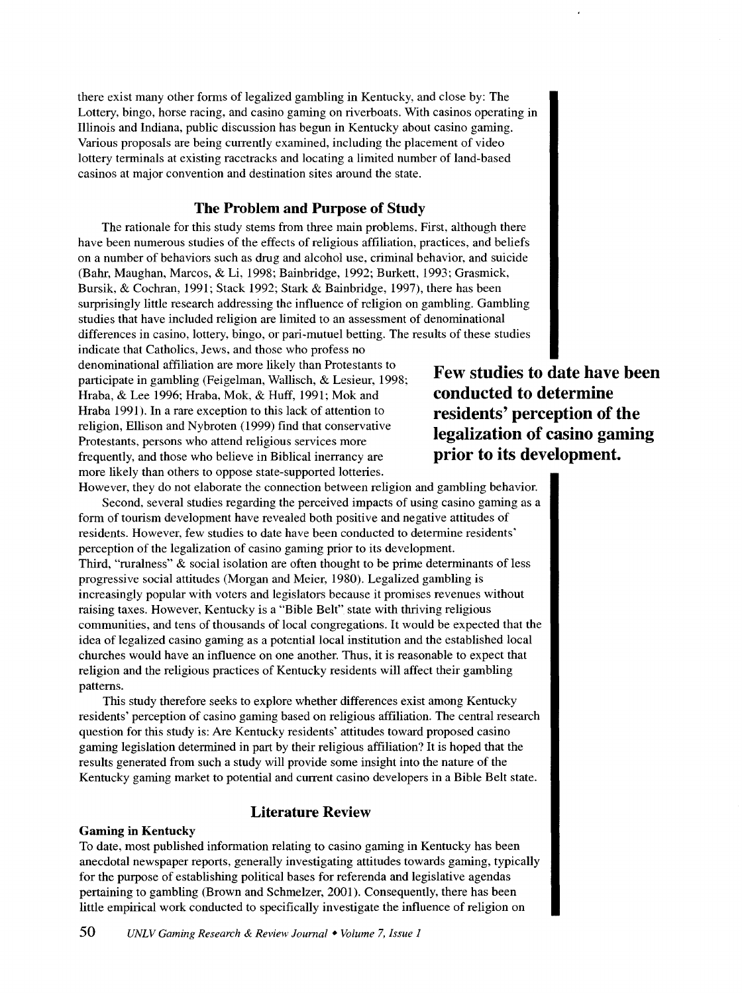there exist many other forms of legalized gambling in Kentucky, and close by: The Lottery, bingo, horse racing, and casino gaming on riverboats. With casinos operating in Illinois and Indiana, public discussion has begun in Kentucky about casino gaming. Various proposals are being currently examined, including the placement of video lottery terminals at existing racetracks and locating a limited number of land-based casinos at major convention and destination sites around the state.

# **The Problem and Purpose of Study**

The rationale for this study stems from three main problems. First, although there have been numerous studies of the effects of religious affiliation, practices, and beliefs on a number of behaviors such as drug and alcohol use, criminal behavior, and suicide (Bahr, Maughan, Marcos, & Li, 1998: Bainbridge, 1992; Burkett, 1993; Grasmick, Bursik, & Cochran, 1991; Stack 1992; Stark & Bainbridge, 1997), there has been surprisingly little research addressing the influence of religion on gambling. Gambling studies that have included religion are limited to an assessment of denominational differences in casino, lottery, bingo, or pari-mutuel betting. The results of these studies

indicate that Catholics, Jews, and those who profess no denominational affiliation are more likely than Protestants to participate in gambling (Feigelman, Wallisch, & Lesieur, 1998; Hraba, & Lee 1996; Hraba, Mok, & Huff, 1991; Mok and Hraba 1991). In a rare exception to this lack of attention to religion, Ellison and Nybroten (1999) find that conservative Protestants, persons who attend religious services more frequently, and those who believe in Biblical inerrancy are more likely than others to oppose state-supported lotteries. However, they do not elaborate the connection between religion and gambling behavior.

Second, several studies regarding the perceived impacts of using casino gaming as a form of tourism development have revealed both positive and negative attitudes of residents. However, few studies to date have been conducted to determine residents' perception of the legalization of casino gaming prior to its development. Third, "ruralness" & social isolation are often thought to be prime determinants of less progressive social attitudes (Morgan and Meier, 1980). Legalized gambling is increasingly popular with voters and legislators because it promises revenues without raising taxes. However, Kentucky is a "Bible Belt" state with thriving religious communities, and tens of thousands of local congregations. It would be expected that the idea of legalized casino gaming as a potential local institution and the established local churches would have an influence on one another. Thus, it is reasonable to expect that religion and the religious practices of Kentucky residents will affect their gambling patterns.

This study therefore seeks to explore whether differences exist among Kentucky residents' perception of casino gaming based on religious affiliation. The central research question for this study is: Are Kentucky residents' attitudes toward proposed casino gaming legislation determined in part by their religious affiliation? It is hoped that the results generated from such a study will provide some insight into the nature of the Kentucky gaming market to potential and current casino developers in a Bible Belt state.

# **Literature Review**

#### **Gaming in Kentucky**

To date, most published information relating to casino gaming in Kentucky has been anecdotal newspaper reports, generally investigating attitudes towards gaming, typically for the purpose of establishing political bases for referenda and legislative agendas pertaining to gambling (Brown and Schmelzer, 2001). Consequently, there has been little empirical work conducted to specifically investigate the influence of religion on

**Few studies to date have been conducted to determine residents' perception of the legalization of casino gaming prior to its development.**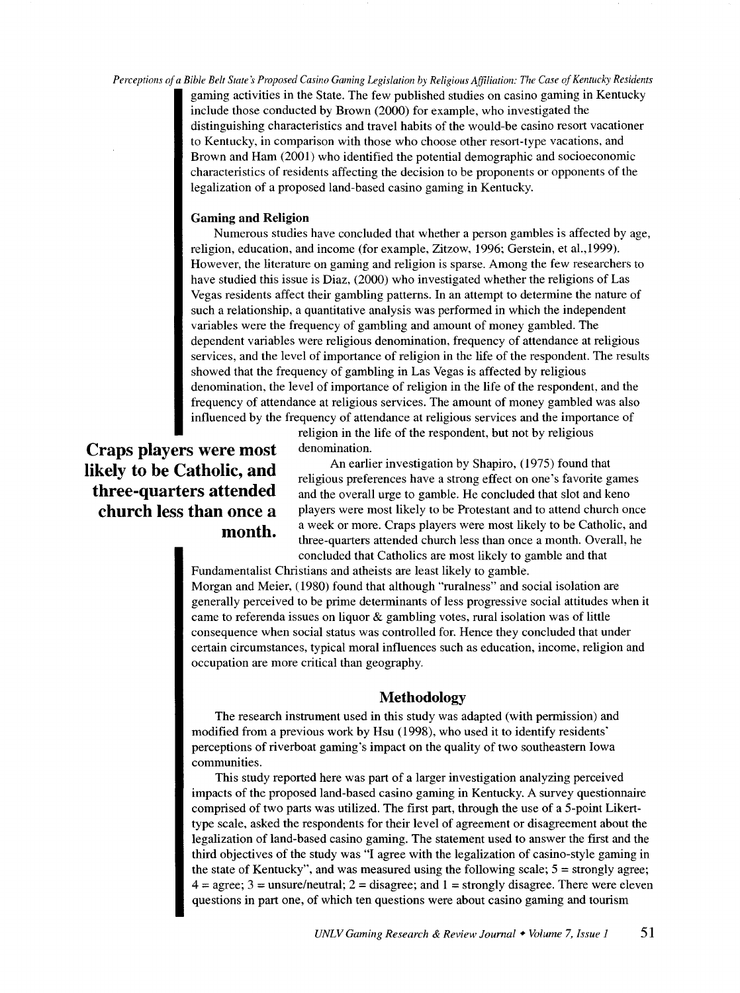*Perceptions of a Bible Belt States Proposed Casino Gaming Legislation by Religious Affiliation: The Case of Kentucky Residents*  gaming activities in the State. The few published studies on casino gaming in Kentucky include those conducted by Brown (2000) for example, who investigated the distinguishing characteristics and travel habits of the would-be casino resort vacationer to Kentucky, in comparison with those who choose other resort-type vacations, and Brown and Ham (2001) who identified the potential demographic and socioeconomic characteristics of residents affecting the decision to be proponents or opponents of the legalization of a proposed land-based casino gaming in Kentucky.

#### **Gaming and Religion**

Numerous studies have concluded that whether a person gambles is affected by age, religion, education, and income (for example, Zitzow, 1996; Gerstein, et al., 1999). However, the literature on gaming and religion is sparse. Among the few researchers to have studied this issue is Diaz, (2000) who investigated whether the religions of Las Vegas residents affect their gambling patterns. In an attempt to determine the nature of such a relationship, a quantitative analysis was performed in which the independent variables were the frequency of gambling and amount of money gambled. The dependent variables were religious denomination, frequency of attendance at religious services, and the level of importance of religion in the life of the respondent. The results showed that the frequency of gambling in Las Vegas is affected by religious denomination, the level of importance of religion in the life of the respondent, and the frequency of attendance at religious services. The amount of money gambled was also influenced by the frequency of attendance at religious services and the importance of

> religion in the life of the respondent, but not by religious denomination.

**Craps players were most likely to be Catholic, and three-quarters attended church less than once a month.** 

An earlier investigation by Shapiro, (1975) found that religious preferences have a strong effect on one's favorite games and the overall urge to gamble. He concluded that slot and keno players were most likely to be Protestant and to attend church once a week or more. Craps players were most likely to be Catholic, and three-quarters attended church less than once a month. Overall, he concluded that Catholics are most likely to gamble and that

Fundamentalist Christians and atheists are least likely to gamble. Morgan and Meier, (1980) found that although "ruralness" and social isolation are generally perceived to be prime determinants of less progressive social attitudes when it came to referenda issues on liquor & gambling votes, rural isolation was of little consequence when social status was controlled for. Hence they concluded that under certain circumstances, typical moral influences such as education, income, religion and occupation are more critical than geography.

#### **Methodology**

The research instrument used in this study was adapted (with permission) and modified from a previous work by Hsu (1998), who used it to identify residents' perceptions of riverboat gaming's impact on the quality of two southeastern Iowa communities.

This study reported here was part of a larger investigation analyzing perceived impacts of the proposed land-based casino gaming in Kentucky. A survey questionnaire comprised of two parts was utilized. The first part, through the use of a 5-point Likerttype scale, asked the respondents for their level of agreement or disagreement about the legalization of land-based casino gaming. The statement used to answer the first and the third objectives of the study was "I agree with the legalization of casino-style gaming in the state of Kentucky", and was measured using the following scale;  $5 =$  strongly agree;  $4 = \text{agree}$ ;  $3 = \text{unsure/neutral}$ ;  $2 = \text{disagree}$ ; and  $1 = \text{strongly disagree}$ . There were eleven questions in part one, of which ten questions were about casino gaming and tourism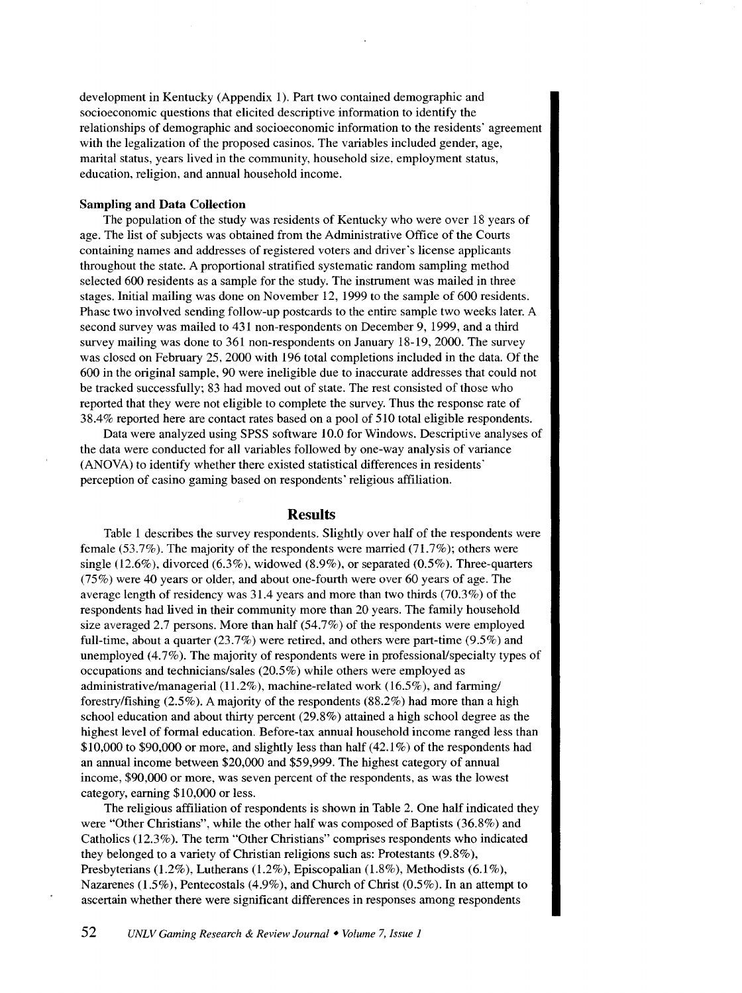development in Kentucky (Appendix 1). Part two contained demographic and socioeconomic questions that elicited descriptive information to identify the relationships of demographic and socioeconomic information to the residents' agreement with the legalization of the proposed casinos. The variables included gender, age, marital status, years lived in the community, household size, employment status, education, religion, and annual household income.

#### **Sampling and Data Collection**

The population of the study was residents of Kentucky who were over 18 years of age. The list of subjects was obtained from the Administrative Office of the Courts containing names and addresses of registered voters and driver's license applicants throughout the state. A proportional stratified systematic random sampling method selected 600 residents as a sample for the study. The instrument was mailed in three stages. Initial mailing was done on November 12, 1999 to the sample of 600 residents. Phase two involved sending follow-up postcards to the entire sample two weeks later. A second survey was mailed to 431 non-respondents on December 9, 1999, and a third survey mailing was done to 361 non-respondents on January 18-19, 2000. The survey was closed on February 25, 2000 with 196 total completions included in the data. Of the 600 in the original sample, 90 were ineligible due to inaccurate addresses that could not be tracked successfully; 83 had moved out of state. The rest consisted of those who reported that they were not eligible to complete the survey. Thus the response rate of 38.4% reported here are contact rates based on a pool of 510 total eligible respondents.

Data were analyzed using SPSS software 10.0 for Windows. Descriptive analyses of the data were conducted for all variables followed by one-way analysis of variance (ANOVA) to identify whether there existed statistical differences in residents' perception of casino gaming based on respondents' religious affiliation.

#### **Results**

Table 1 describes the survey respondents. Slightly over half of the respondents were female (53.7%). The majority of the respondents were married (71.7%); others were single (12.6%), divorced (6.3%), widowed (8.9%), or separated (0.5%). Three-quarters (75%) were 40 years or older, and about one-fourth were over 60 years of age. The average length of residency was 31.4 years and more than two thirds (70.3%) of the respondents had lived in their community more than 20 years. The family household size averaged 2.7 persons. More than half  $(54.7%)$  of the respondents were employed full-time, about a quarter (23.7%) were retired, and others were part-time (9.5%) and unemployed (4.7%). The majority of respondents were in professional/specialty types of occupations and technicians/sales (20.5%) while others were employed as administrative/managerial (11.2%), machine-related work (16.5%), and farming/ forestry/fishing (2.5% ). A majority of the respondents (88.2%) had more than a high school education and about thirty percent (29.8%) attained a high school degree as the highest level of formal education. Before-tax annual household income ranged less than \$10,000 to \$90,000 or more, and slightly less than half  $(42.1\%)$  of the respondents had an annual income between \$20,000 and \$59,999. The highest category of annual income, \$90,000 or more, was seven percent of the respondents, as was the lowest category, earning \$10,000 or less.

The religious affiliation of respondents is shown in Table 2. One half indicated they were "Other Christians", while the other half was composed of Baptists (36.8%) and Catholics (12.3%). The term "Other Christians" comprises respondents who indicated they belonged to a variety of Christian religions such as: Protestants (9.8% ), Presbyterians (1.2%), Lutherans (1.2%), Episcopalian (1.8%), Methodists (6.1 %), Nazarenes (1.5%), Pentecostals (4.9%), and Church of Christ (0.5%). In an attempt to ascertain whether there were significant differences in responses among respondents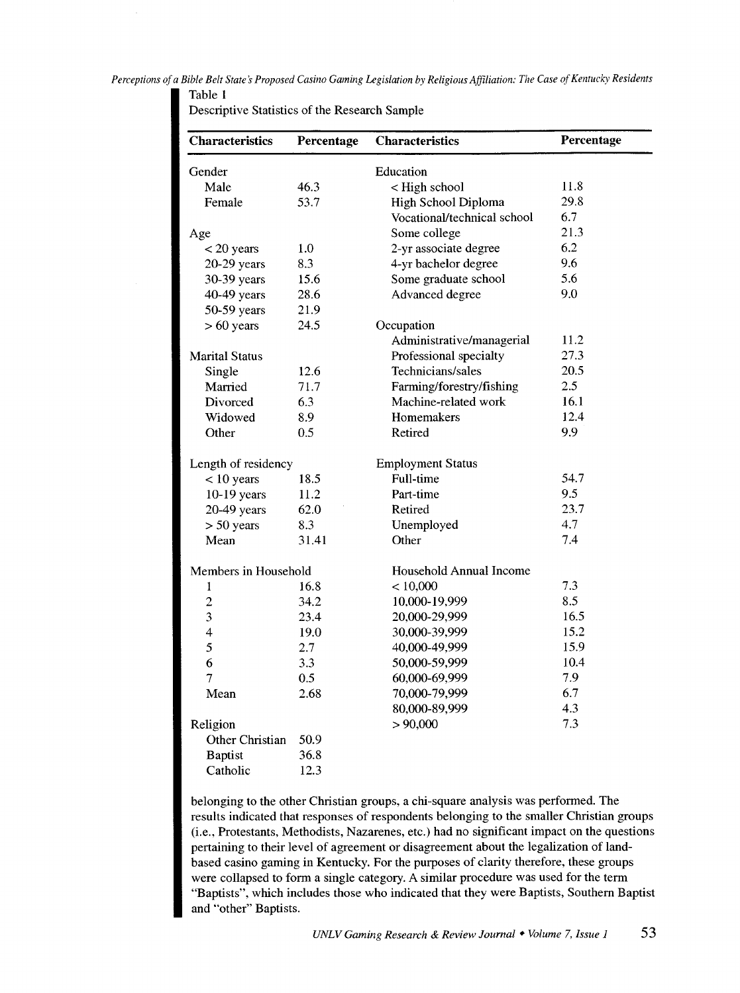*Perceptions of a Bible Belt States Proposed Casino Gaming Legislation by Religious Affiliation: The Case of Kentucky Residents*  Table **1** 

| Descriptive Statistics of the Research Sample |  |  |  |  |
|-----------------------------------------------|--|--|--|--|
|-----------------------------------------------|--|--|--|--|

| <b>Characteristics</b> | Percentage | <b>Characteristics</b>      | Percentage |
|------------------------|------------|-----------------------------|------------|
| Gender                 |            | Education                   |            |
| Male                   | 46.3       | < High school               | 11.8       |
| Female                 | 53.7       | High School Diploma         | 29.8       |
|                        |            | Vocational/technical school | 6.7        |
| Age                    |            | Some college                | 21.3       |
| $<$ 20 years           | 1.0        | 2-yr associate degree       | 6.2        |
| 20-29 years            | 8.3        | 4-yr bachelor degree        | 9.6        |
| 30-39 years            | 15.6       | Some graduate school        | 5.6        |
| 40-49 years            | 28.6       | Advanced degree             | 9.0        |
| 50-59 years            | 21.9       |                             |            |
| $> 60$ years           | 24.5       | Occupation                  |            |
|                        |            | Administrative/managerial   | 11.2       |
| <b>Marital Status</b>  |            | Professional specialty      | 27.3       |
| Single                 | 12.6       | Technicians/sales           | 20.5       |
| Married                | 71.7       | Farming/forestry/fishing    | 2.5        |
| Divorced               | 6.3        | Machine-related work        | 16.1       |
| Widowed                | 8.9        | Homemakers                  | 12.4       |
| Other                  | 0.5        | Retired                     | 9.9        |
| Length of residency    |            | <b>Employment Status</b>    |            |
| $< 10$ years           | 18.5       | Full-time                   | 54.7       |
| $10-19$ years          | 11.2       | Part-time                   | 9.5        |
| 20-49 years            | 62.0       | Retired                     | 23.7       |
| $> 50$ years           | 8.3        | Unemployed                  | 4.7        |
| Mean                   | 31.41      | Other                       | 7.4        |
| Members in Household   |            | Household Annual Income     |            |
| 1                      | 16.8       | < 10,000                    | 7.3        |
| $\overline{c}$         | 34.2       | 10,000-19,999               | 8.5        |
| 3                      | 23.4       | 20,000-29,999               | 16.5       |
| $\overline{4}$         | 19.0       | 30,000-39,999               | 15.2       |
| 5                      | 2.7        | 40,000-49,999               | 15.9       |
| 6                      | 3.3        | 50,000-59,999               | 10.4       |
| 7                      | 0.5        | 60,000-69,999               | 7.9        |
| Mean                   | 2.68       | 70,000-79,999               | 6.7        |
|                        |            | 80,000-89,999               | 4.3        |
| Religion               |            | > 90,000                    | 7.3        |
| Other Christian        | 50.9       |                             |            |
| <b>Baptist</b>         | 36.8       |                             |            |
| Catholic               | 12.3       |                             |            |

belonging to the other Christian groups, a chi-square analysis was performed. The results indicated that responses of respondents belonging to the smaller Christian groups (i.e., Protestants, Methodists, Nazarenes, etc.) had no significant impact on the questions pertaining to their level of agreement or disagreement about the legalization of landbased casino gaming in Kentucky. For the purposes of clarity therefore, these groups were collapsed to form a single category. A similar procedure was used for the term "Baptists", which includes those who indicated that they were Baptists, Southern Baptist and "other" Baptists.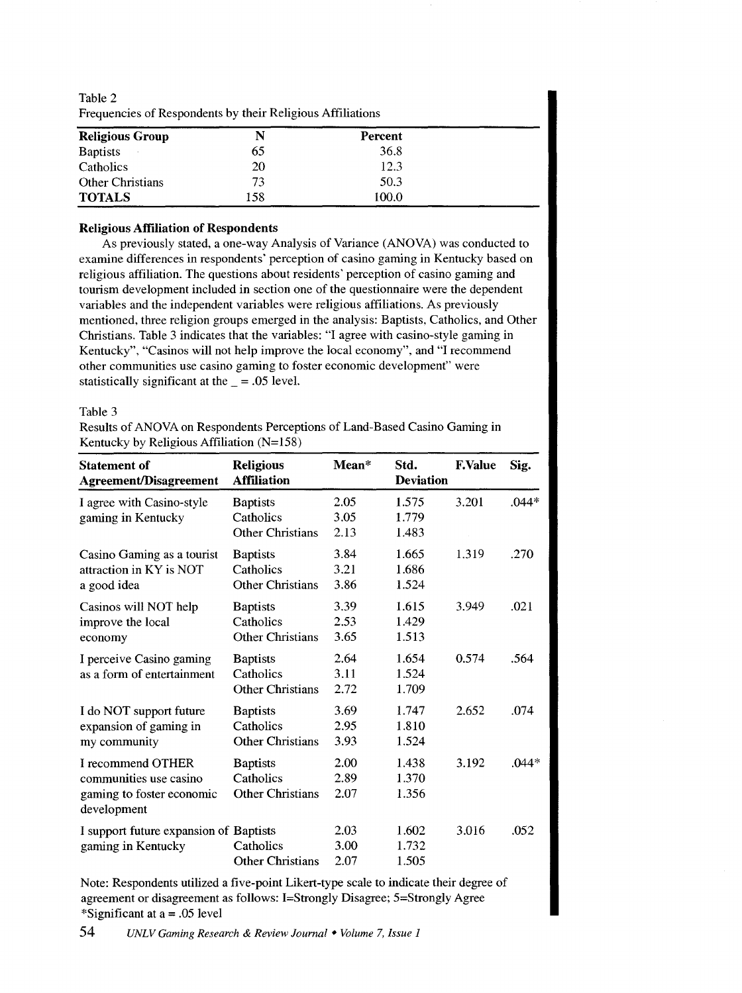| requencies of respondents by their religious Althauons |     |         |  |  |  |
|--------------------------------------------------------|-----|---------|--|--|--|
| <b>Religious Group</b>                                 | N   | Percent |  |  |  |
| <b>Baptists</b>                                        | 65  | 36.8    |  |  |  |
| Catholics                                              | 20  | 12.3    |  |  |  |
| <b>Other Christians</b>                                | 73  | 50.3    |  |  |  |
| <b>TOTALS</b>                                          | 158 | 100.0   |  |  |  |

Table 2 Frequencies of Respondents by their Religious Affiliations

#### **Religious Affiliation of Respondents**

As previously stated, a one-way Analysis of Variance (ANOVA) was conducted to examine differences in respondents' perception of casino gaming in Kentucky based on religious affiliation. The questions about residents' perception of casino gaming and tourism development included in section one of the questionnaire were the dependent variables and the independent variables were religious affiliations. As previously mentioned, three religion groups emerged in the analysis: Baptists, Catholics, and Other Christians. Table 3 indicates that the variables: "I agree with casino-style gaming in Kentucky", "Casinos will not help improve the local economy", and "I recommend other communities use casino gaming to foster economic development" were statistically significant at the  $=$  = .05 level.

#### Table 3

Results of ANOVA on Respondents Perceptions of Land-Based Casino Gaming in Kentucky by Religious Affiliation (N=158)

| <b>Statement of</b><br><b>Agreement/Disagreement</b>                                    | <b>Religious</b><br><b>Affiliation</b>                  | $Mean*$              | Std.<br><b>Deviation</b> | <b>F.Value</b> | Sig.    |
|-----------------------------------------------------------------------------------------|---------------------------------------------------------|----------------------|--------------------------|----------------|---------|
| I agree with Casino-style<br>gaming in Kentucky                                         | <b>Baptists</b><br>Catholics<br><b>Other Christians</b> | 2.05<br>3.05<br>2.13 | 1.575<br>1.779<br>1.483  | 3.201          | $.044*$ |
| Casino Gaming as a tourist<br>attraction in KY is NOT<br>a good idea                    | <b>Baptists</b><br>Catholics<br><b>Other Christians</b> | 3.84<br>3.21<br>3.86 | 1.665<br>1.686<br>1.524  | 1.319          | .270    |
| Casinos will NOT help<br>improve the local<br>economy                                   | <b>Baptists</b><br>Catholics<br><b>Other Christians</b> | 3.39<br>2.53<br>3.65 | 1.615<br>1.429<br>1.513  | 3.949          | .021    |
| I perceive Casino gaming<br>as a form of entertainment                                  | <b>Baptists</b><br>Catholics<br><b>Other Christians</b> | 2.64<br>3.11<br>2.72 | 1.654<br>1.524<br>1.709  | 0.574          | .564    |
| I do NOT support future<br>expansion of gaming in<br>my community                       | <b>Baptists</b><br>Catholics<br><b>Other Christians</b> | 3.69<br>2.95<br>3.93 | 1.747<br>1.810<br>1.524  | 2.652          | .074    |
| I recommend OTHER<br>communities use casino<br>gaming to foster economic<br>development | <b>Baptists</b><br>Catholics<br><b>Other Christians</b> | 2.00<br>2.89<br>2.07 | 1.438<br>1.370<br>1.356  | 3.192          | $.044*$ |
| I support future expansion of Baptists<br>gaming in Kentucky                            | Catholics<br><b>Other Christians</b>                    | 2.03<br>3.00<br>2.07 | 1.602<br>1.732<br>1.505  | 3.016          | .052    |

Note: Respondents utilized a five-point Likert-type scale to indicate their degree of agreement or disagreement as follows: !=Strongly Disagree; 5=Strongly Agree \*Significant at a= .05 level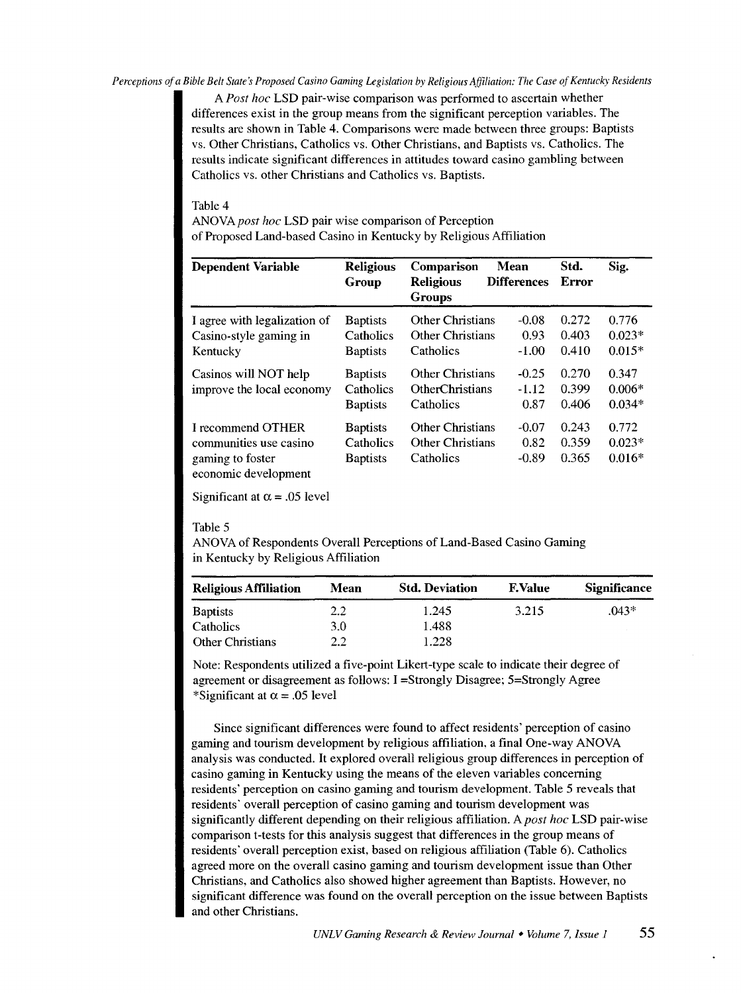#### *Perceptions of a Bible Belt State's Proposed Casino Gaming Legislation by Religious Affiliation: The Case of Kentucky Residents*

A *Post hoc* LSD pair-wise comparison was performed to ascertain whether differences exist in the group means from the significant perception variables. The results are shown in Table 4. Comparisons were made between three groups: Baptists vs. Other Christians, Catholics vs. Other Christians, and Baptists vs. Catholics. The results indicate significant differences in attitudes toward casino gambling between Catholics vs. other Christians and Catholics vs. Baptists.

#### Table 4

*ANOVApost hoc* LSD pair wise comparison of Perception of Proposed Land-based Casino in Kentucky by Religious Affiliation

| <b>Dependent Variable</b>                                                               | <b>Religious</b><br>Group                       | Comparison<br><b>Religious</b><br><b>Groups</b>                 | <b>Mean</b><br><b>Differences</b> | Std.<br>Error           | Sig.                          |
|-----------------------------------------------------------------------------------------|-------------------------------------------------|-----------------------------------------------------------------|-----------------------------------|-------------------------|-------------------------------|
| I agree with legalization of<br>Casino-style gaming in<br>Kentucky                      | <b>Baptists</b><br>Catholics<br><b>Baptists</b> | <b>Other Christians</b><br><b>Other Christians</b><br>Catholics | $-0.08$<br>0.93<br>$-1.00$        | 0.272<br>0.403<br>0.410 | 0.776<br>$0.023*$<br>$0.015*$ |
| Casinos will NOT help<br>improve the local economy                                      | <b>Baptists</b><br>Catholics<br><b>Baptists</b> | <b>Other Christians</b><br>OtherChristians<br>Catholics         | $-0.25$<br>$-1.12$<br>0.87        | 0.270<br>0.399<br>0.406 | 0.347<br>$0.006*$<br>$0.034*$ |
| I recommend OTHER<br>communities use casino<br>gaming to foster<br>economic development | <b>Baptists</b><br>Catholics<br><b>Baptists</b> | <b>Other Christians</b><br><b>Other Christians</b><br>Catholics | $-0.07$<br>0.82<br>$-0.89$        | 0.243<br>0.359<br>0.365 | 0.772<br>$0.023*$<br>$0.016*$ |

Significant at  $\alpha$  = .05 level

#### Table 5

AN OVA of Respondents Overall Perceptions of Land-Based Casino Gaming in Kentucky by Religious Affiliation

| <b>Religious Affiliation</b> | Mean | <b>Std. Deviation</b> | <b>F.Value</b> | <b>Significance</b> |
|------------------------------|------|-----------------------|----------------|---------------------|
| <b>Baptists</b>              | 2.2  | 1.245                 | 3.215          | $.043*$             |
| Catholics                    | 3.0  | 1.488                 |                |                     |
| <b>Other Christians</b>      | 2.2  | 1.228                 |                |                     |

Note: Respondents utilized a five-point Likert-type scale to indicate their degree of agreement or disagreement as follows: I =Strongly Disagree; 5=Strongly Agree \*Significant at  $\alpha$  = .05 level

Since significant differences were found to affect residents' perception of casino gaming and tourism development by religious affiliation, a final One-way ANOVA analysis was conducted. It explored overall religious group differences in perception of casino gaming in Kentucky using the means of the eleven variables concerning residents' perception on casino gaming and tourism development. Table 5 reveals that residents' overall perception of casino gaming and tourism development was significantly different depending on their religious affiliation. A *post hoc* LSD pair-wise comparison t-tests for this analysis suggest that differences in the group means of residents' overall perception exist, based on religious affiliation (Table 6). Catholics agreed more on the overall casino gaming and tourism development issue than Other Christians, and Catholics also showed higher agreement than Baptists. However, no significant difference was found on the overall perception on the issue between Baptists and other Christians.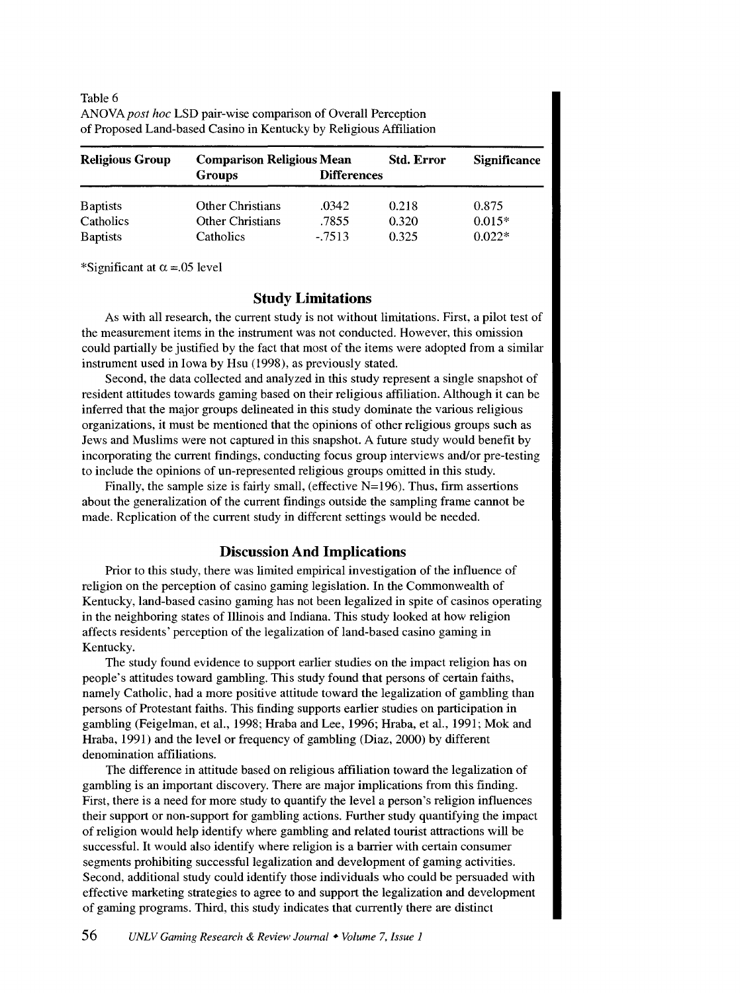| of Proposed Land-based Casino in Kentucky by Religious Affiliation |                                                   |                    |                   |                |  |
|--------------------------------------------------------------------|---------------------------------------------------|--------------------|-------------------|----------------|--|
| <b>Religious Group</b>                                             | <b>Comparison Religious Mean</b><br><b>Groups</b> | <b>Differences</b> | <b>Std. Error</b> | <b>Signifi</b> |  |

| <b>TUDIC</b> O                                                       |  |
|----------------------------------------------------------------------|--|
| ANOVA <i>post hoc</i> LSD pair-wise comparison of Overall Perception |  |
| of Proposed Land-based Casino in Kentucky by Religious Affiliation   |  |

| Religious Group | <b>Comparison Religious Mean</b><br><b>Groups</b> | <b>Differences</b> | Std. Error | <b>Significance</b> |  |
|-----------------|---------------------------------------------------|--------------------|------------|---------------------|--|
| <b>Baptists</b> | Other Christians                                  | .0342              | 0.218      | 0.875               |  |
| Catholics       | <b>Other Christians</b>                           | .7855              | 0.320      | $0.015*$            |  |
| <b>Baptists</b> | Catholics                                         | $-.7513$           | 0.325      | $0.022*$            |  |

\*Significant at  $\alpha$  = 05 level

Table 6

# **Study Limitations**

As with all research, the current study is not without limitations. First, a pilot test of the measurement items in the instrument was not conducted. However, this omission could partially be justified by the fact that most of the items were adopted from a similar instrument used in Iowa by Hsu (1998), as previously stated.

Second, the data collected and analyzed in this study represent a single snapshot of resident attitudes towards gaming based on their religious affiliation. Although it can be inferred that the major groups delineated in this study dominate the various religious organizations, it must be mentioned that the opinions of other religious groups such as Jews and Muslims were not captured in this snapshot. A future study would benefit by incorporating the current findings, conducting focus group interviews and/or pre-testing to include the opinions of un-represented religious groups omitted in this study.

Finally, the sample size is fairly small, (effective  $N=196$ ). Thus, firm assertions about the generalization of the current findings outside the sampling frame cannot be made. Replication of the current study in different settings would be needed.

# **Discussion And Implications**

Prior to this study, there was limited empirical investigation of the influence of religion on the perception of casino gaming legislation. In the Commonwealth of Kentucky, land-based casino gaming has not been legalized in spite of casinos operating in the neighboring states of Illinois and Indiana. This study looked at how religion affects residents' perception of the legalization of land-based casino gaming in Kentucky.

The study found evidence to support earlier studies on the impact religion has on people's attitudes toward gambling. This study found that persons of certain faiths, namely Catholic, had a more positive attitude toward the legalization of gambling than persons of Protestant faiths. This finding supports earlier studies on participation in gambling (Feigelman, et al., 1998; Hraba and Lee, 1996; Hraba, et al., 1991; Mok and Hraba, 1991) and the level or frequency of gambling (Diaz, 2000) by different denomination affiliations.

The difference in attitude based on religious affiliation toward the legalization of gambling is an important discovery. There are major implications from this finding. First, there is a need for more study to quantify the level a person's religion influences their support or non-support for gambling actions. Further study quantifying the impact of religion would help identify where gambling and related tourist attractions will be successful. It would also identify where religion is a barrier with certain consumer segments prohibiting successful legalization and development of gaming activities. Second, additional study could identify those individuals who could be persuaded with effective marketing strategies to agree to and support the legalization and development of gaming programs. Third, this study indicates that currently there are distinct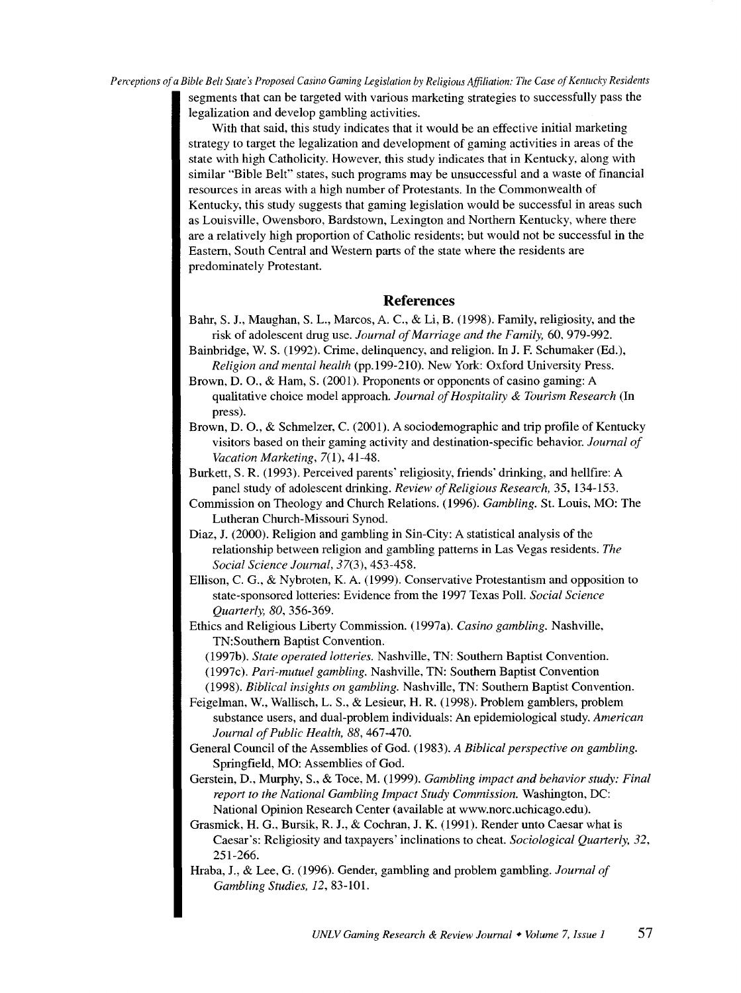*Perceptions of a Bible Belt State's Proposed Casino Gaming Legislation by Religious Affiliation: The Case of Kentucky Residents* 

segments that can be targeted with various marketing strategies to successfully pass the legalization and develop gambling activities.

With that said, this study indicates that it would be an effective initial marketing strategy to target the legalization and development of gaming activities in areas of the state with high Catholicity. However, this study indicates that in Kentucky, along with similar "Bible Belt" states, such programs may be unsuccessful and a waste of financial resources in areas with a high number of Protestants. In the Commonwealth of Kentucky, this study suggests that gaming legislation would be successful in areas such as Louisville, Owensboro, Bardstown, Lexington and Northern Kentucky, where there are a relatively high proportion of Catholic residents; but would not be successful in the Eastern, South Central and Western parts of the state where the residents are predominately Protestant.

# **References**

- Bahr, S. J., Maughan, S. L., Marcos, A. C., & Li, B. (1998). Family, religiosity, and the risk of adolescent drug use. *Journal of Marriage and the Family,* 60, 979-992.
- Bainbridge, W. S. (1992). Crime, delinquency, and religion. In J. F. Schumaker (Ed.), *Religion and mental health* (pp.l99-210). New York: Oxford University Press.
- Brown, D. 0., & Ham, S. (2001). Proponents or opponents of casino gaming: A qualitative choice model approach. *Journal of Hospitality* & *Tourism Research* (In press).
- Brown, D. 0., & Schmelzer, C. (2001). A sociodemographic and trip profile of Kentucky visitors based on their gaming activity and destination-specific behavior. *Journal of Vacation Marketing,* 7(1), 41-48.
- Burkett, S. R. (1993). Perceived parents' religiosity, friends' drinking, and hellfire: A panel study of adolescent drinking. *Review of Religious Research,* 35, 134-153.
- Commission on Theology and Church Relations. (1996). *Gambling.* St. Louis, MO: The Lutheran Church-Missouri Synod.
- Diaz, J. (2000). Religion and gambling in Sin-City: A statistical analysis of the relationship between religion and gambling patterns in Las Vegas residents. *The Social Science Journal,* 37(3), 453-458.
- Ellison, C. G., & Nybroten, K. A. (1999). Conservative Protestantism and opposition to state-sponsored lotteries: Evidence from the 1997 Texas Poll. *Social Science Quarterly, 80,* 356-369.
- Ethics and Religious Liberty Commission. (1997a). *Casino gambling.* Nashville, TN:Southern Baptist Convention.
	- (1997b). *State operated lotteries.* Nashville, TN: Southern Baptist Convention. (1997c). *Pari-mutuel gambling.* Nashville, TN: Southern Baptist Convention (1998). *Biblical insights on gambling.* Nashville, TN: Southern Baptist Convention.
- Feigelman, W., Wallisch, L. S., & Lesieur, H. R. (1998). Problem gamblers, problem substance users, and dual-problem individuals: An epidemiological study. *American Journal of Public Health, 88,* 467-470.
- General Council of the Assemblies of God. (1983). *A Biblical perspective on gambling.*  Springfield, MO: Assemblies of God.
- Gerstein, D., Murphy, S., & Toce, M. (1999). *Gambling impact and behavior study: Final report to the National Gambling Impact Study Commission.* Washington, DC: National Opinion Research Center (available at www.norc.uchicago.edu).
- Grasmick, H. G., Bursik, R. J., & Cochran, J. K. (1991). Render unto Caesar what is Caesar's: Religiosity and taxpayers' inclinations to cheat. *Sociological Quarterly, 32,*  251-266.
- Hraba, J., & Lee, G. (1996). Gender, gambling and problem gambling. *Journal of Gambling Studies,* /2, 83-101.